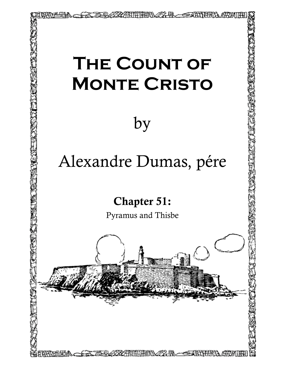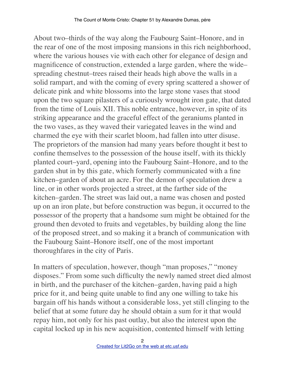About two–thirds of the way along the Faubourg Saint–Honore, and in the rear of one of the most imposing mansions in this rich neighborhood, where the various houses vie with each other for elegance of design and magnificence of construction, extended a large garden, where the wide– spreading chestnut–trees raised their heads high above the walls in a solid rampart, and with the coming of every spring scattered a shower of delicate pink and white blossoms into the large stone vases that stood upon the two square pilasters of a curiously wrought iron gate, that dated from the time of Louis XII. This noble entrance, however, in spite of its striking appearance and the graceful effect of the geraniums planted in the two vases, as they waved their variegated leaves in the wind and charmed the eye with their scarlet bloom, had fallen into utter disuse. The proprietors of the mansion had many years before thought it best to confine themselves to the possession of the house itself, with its thickly planted court–yard, opening into the Faubourg Saint–Honore, and to the garden shut in by this gate, which formerly communicated with a fine kitchen–garden of about an acre. For the demon of speculation drew a line, or in other words projected a street, at the farther side of the kitchen–garden. The street was laid out, a name was chosen and posted up on an iron plate, but before construction was begun, it occurred to the possessor of the property that a handsome sum might be obtained for the ground then devoted to fruits and vegetables, by building along the line of the proposed street, and so making it a branch of communication with the Faubourg Saint–Honore itself, one of the most important thoroughfares in the city of Paris.

In matters of speculation, however, though "man proposes," "money disposes." From some such difficulty the newly named street died almost in birth, and the purchaser of the kitchen–garden, having paid a high price for it, and being quite unable to find any one willing to take his bargain off his hands without a considerable loss, yet still clinging to the belief that at some future day he should obtain a sum for it that would repay him, not only for his past outlay, but also the interest upon the capital locked up in his new acquisition, contented himself with letting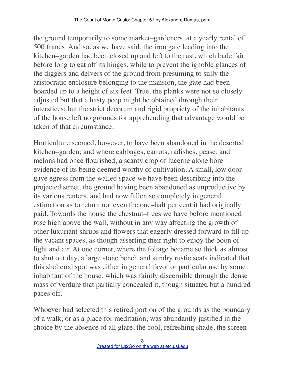the ground temporarily to some market–gardeners, at a yearly rental of 500 francs. And so, as we have said, the iron gate leading into the kitchen–garden had been closed up and left to the rust, which bade fair before long to eat off its hinges, while to prevent the ignoble glances of the diggers and delvers of the ground from presuming to sully the aristocratic enclosure belonging to the mansion, the gate had been boarded up to a height of six feet. True, the planks were not so closely adjusted but that a hasty peep might be obtained through their interstices; but the strict decorum and rigid propriety of the inhabitants of the house left no grounds for apprehending that advantage would be taken of that circumstance.

Horticulture seemed, however, to have been abandoned in the deserted kitchen–garden; and where cabbages, carrots, radishes, pease, and melons had once flourished, a scanty crop of lucerne alone bore evidence of its being deemed worthy of cultivation. A small, low door gave egress from the walled space we have been describing into the projected street, the ground having been abandoned as unproductive by its various renters, and had now fallen so completely in general estimation as to return not even the one–half per cent it had originally paid. Towards the house the chestnut–trees we have before mentioned rose high above the wall, without in any way affecting the growth of other luxuriant shrubs and flowers that eagerly dressed forward to fill up the vacant spaces, as though asserting their right to enjoy the boon of light and air. At one corner, where the foliage became so thick as almost to shut out day, a large stone bench and sundry rustic seats indicated that this sheltered spot was either in general favor or particular use by some inhabitant of the house, which was faintly discernible through the dense mass of verdure that partially concealed it, though situated but a hundred paces off.

Whoever had selected this retired portion of the grounds as the boundary of a walk, or as a place for meditation, was abundantly justified in the choice by the absence of all glare, the cool, refreshing shade, the screen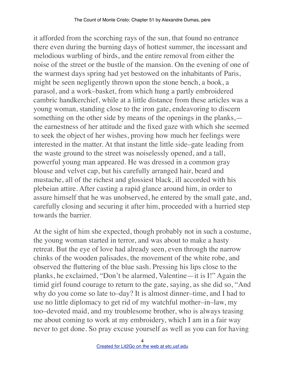it afforded from the scorching rays of the sun, that found no entrance there even during the burning days of hottest summer, the incessant and melodious warbling of birds, and the entire removal from either the noise of the street or the bustle of the mansion. On the evening of one of the warmest days spring had yet bestowed on the inhabitants of Paris, might be seen negligently thrown upon the stone bench, a book, a parasol, and a work–basket, from which hung a partly embroidered cambric handkerchief, while at a little distance from these articles was a young woman, standing close to the iron gate, endeavoring to discern something on the other side by means of the openings in the planks, the earnestness of her attitude and the fixed gaze with which she seemed to seek the object of her wishes, proving how much her feelings were interested in the matter. At that instant the little side–gate leading from the waste ground to the street was noiselessly opened, and a tall, powerful young man appeared. He was dressed in a common gray blouse and velvet cap, but his carefully arranged hair, beard and mustache, all of the richest and glossiest black, ill accorded with his plebeian attire. After casting a rapid glance around him, in order to assure himself that he was unobserved, he entered by the small gate, and, carefully closing and securing it after him, proceeded with a hurried step towards the barrier.

At the sight of him she expected, though probably not in such a costume, the young woman started in terror, and was about to make a hasty retreat. But the eye of love had already seen, even through the narrow chinks of the wooden palisades, the movement of the white robe, and observed the fluttering of the blue sash. Pressing his lips close to the planks, he exclaimed, "Don't be alarmed, Valentine—it is I!" Again the timid girl found courage to return to the gate, saying, as she did so, "And why do you come so late to–day? It is almost dinner–time, and I had to use no little diplomacy to get rid of my watchful mother–in–law, my too–devoted maid, and my troublesome brother, who is always teasing me about coming to work at my embroidery, which I am in a fair way never to get done. So pray excuse yourself as well as you can for having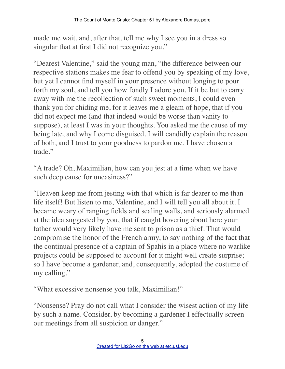made me wait, and, after that, tell me why I see you in a dress so singular that at first I did not recognize you."

"Dearest Valentine," said the young man, "the difference between our respective stations makes me fear to offend you by speaking of my love, but yet I cannot find myself in your presence without longing to pour forth my soul, and tell you how fondly I adore you. If it be but to carry away with me the recollection of such sweet moments, I could even thank you for chiding me, for it leaves me a gleam of hope, that if you did not expect me (and that indeed would be worse than vanity to suppose), at least I was in your thoughts. You asked me the cause of my being late, and why I come disguised. I will candidly explain the reason of both, and I trust to your goodness to pardon me. I have chosen a trade."

"A trade? Oh, Maximilian, how can you jest at a time when we have such deep cause for uneasiness?"

"Heaven keep me from jesting with that which is far dearer to me than life itself! But listen to me, Valentine, and I will tell you all about it. I became weary of ranging fields and scaling walls, and seriously alarmed at the idea suggested by you, that if caught hovering about here your father would very likely have me sent to prison as a thief. That would compromise the honor of the French army, to say nothing of the fact that the continual presence of a captain of Spahis in a place where no warlike projects could be supposed to account for it might well create surprise; so I have become a gardener, and, consequently, adopted the costume of my calling."

"What excessive nonsense you talk, Maximilian!"

"Nonsense? Pray do not call what I consider the wisest action of my life by such a name. Consider, by becoming a gardener I effectually screen our meetings from all suspicion or danger."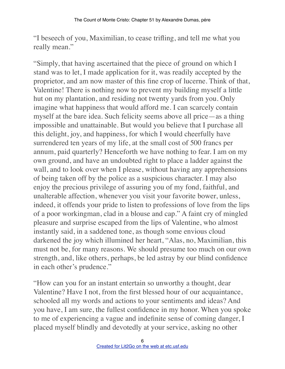"I beseech of you, Maximilian, to cease trifling, and tell me what you really mean."

"Simply, that having ascertained that the piece of ground on which I stand was to let, I made application for it, was readily accepted by the proprietor, and am now master of this fine crop of lucerne. Think of that, Valentine! There is nothing now to prevent my building myself a little hut on my plantation, and residing not twenty yards from you. Only imagine what happiness that would afford me. I can scarcely contain myself at the bare idea. Such felicity seems above all price—as a thing impossible and unattainable. But would you believe that I purchase all this delight, joy, and happiness, for which I would cheerfully have surrendered ten years of my life, at the small cost of 500 francs per annum, paid quarterly? Henceforth we have nothing to fear. I am on my own ground, and have an undoubted right to place a ladder against the wall, and to look over when I please, without having any apprehensions of being taken off by the police as a suspicious character. I may also enjoy the precious privilege of assuring you of my fond, faithful, and unalterable affection, whenever you visit your favorite bower, unless, indeed, it offends your pride to listen to professions of love from the lips of a poor workingman, clad in a blouse and cap." A faint cry of mingled pleasure and surprise escaped from the lips of Valentine, who almost instantly said, in a saddened tone, as though some envious cloud darkened the joy which illumined her heart, "Alas, no, Maximilian, this must not be, for many reasons. We should presume too much on our own strength, and, like others, perhaps, be led astray by our blind confidence in each other's prudence."

"How can you for an instant entertain so unworthy a thought, dear Valentine? Have I not, from the first blessed hour of our acquaintance, schooled all my words and actions to your sentiments and ideas? And you have, I am sure, the fullest confidence in my honor. When you spoke to me of experiencing a vague and indefinite sense of coming danger, I placed myself blindly and devotedly at your service, asking no other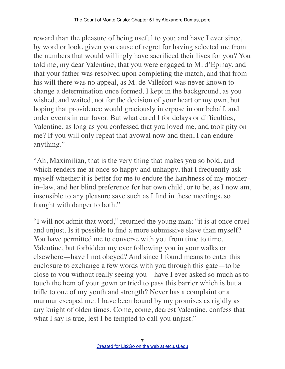reward than the pleasure of being useful to you; and have I ever since, by word or look, given you cause of regret for having selected me from the numbers that would willingly have sacrificed their lives for you? You told me, my dear Valentine, that you were engaged to M. d'Epinay, and that your father was resolved upon completing the match, and that from his will there was no appeal, as M. de Villefort was never known to change a determination once formed. I kept in the background, as you wished, and waited, not for the decision of your heart or my own, but hoping that providence would graciously interpose in our behalf, and order events in our favor. But what cared I for delays or difficulties, Valentine, as long as you confessed that you loved me, and took pity on me? If you will only repeat that avowal now and then, I can endure anything."

"Ah, Maximilian, that is the very thing that makes you so bold, and which renders me at once so happy and unhappy, that I frequently ask myself whether it is better for me to endure the harshness of my mother– in–law, and her blind preference for her own child, or to be, as I now am, insensible to any pleasure save such as I find in these meetings, so fraught with danger to both."

"I will not admit that word," returned the young man; "it is at once cruel and unjust. Is it possible to find a more submissive slave than myself? You have permitted me to converse with you from time to time, Valentine, but forbidden my ever following you in your walks or elsewhere—have I not obeyed? And since I found means to enter this enclosure to exchange a few words with you through this gate—to be close to you without really seeing you—have I ever asked so much as to touch the hem of your gown or tried to pass this barrier which is but a trifle to one of my youth and strength? Never has a complaint or a murmur escaped me. I have been bound by my promises as rigidly as any knight of olden times. Come, come, dearest Valentine, confess that what I say is true, lest I be tempted to call you unjust."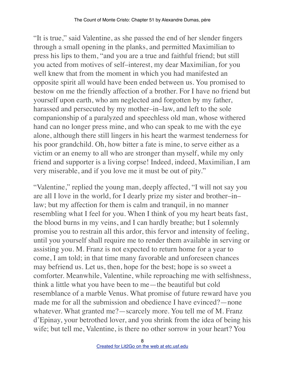"It is true," said Valentine, as she passed the end of her slender fingers through a small opening in the planks, and permitted Maximilian to press his lips to them, "and you are a true and faithful friend; but still you acted from motives of self–interest, my dear Maximilian, for you well knew that from the moment in which you had manifested an opposite spirit all would have been ended between us. You promised to bestow on me the friendly affection of a brother. For I have no friend but yourself upon earth, who am neglected and forgotten by my father, harassed and persecuted by my mother–in–law, and left to the sole companionship of a paralyzed and speechless old man, whose withered hand can no longer press mine, and who can speak to me with the eye alone, although there still lingers in his heart the warmest tenderness for his poor grandchild. Oh, how bitter a fate is mine, to serve either as a victim or an enemy to all who are stronger than myself, while my only friend and supporter is a living corpse! Indeed, indeed, Maximilian, I am very miserable, and if you love me it must be out of pity."

"Valentine," replied the young man, deeply affected, "I will not say you are all I love in the world, for I dearly prize my sister and brother–in– law; but my affection for them is calm and tranquil, in no manner resembling what I feel for you. When I think of you my heart beats fast, the blood burns in my veins, and I can hardly breathe; but I solemnly promise you to restrain all this ardor, this fervor and intensity of feeling, until you yourself shall require me to render them available in serving or assisting you. M. Franz is not expected to return home for a year to come, I am told; in that time many favorable and unforeseen chances may befriend us. Let us, then, hope for the best; hope is so sweet a comforter. Meanwhile, Valentine, while reproaching me with selfishness, think a little what you have been to me—the beautiful but cold resemblance of a marble Venus. What promise of future reward have you made me for all the submission and obedience I have evinced?—none whatever. What granted me?—scarcely more. You tell me of M. Franz d'Epinay, your betrothed lover, and you shrink from the idea of being his wife; but tell me, Valentine, is there no other sorrow in your heart? You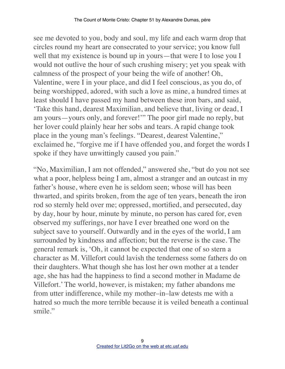see me devoted to you, body and soul, my life and each warm drop that circles round my heart are consecrated to your service; you know full well that my existence is bound up in yours—that were I to lose you I would not outlive the hour of such crushing misery; yet you speak with calmness of the prospect of your being the wife of another! Oh, Valentine, were I in your place, and did I feel conscious, as you do, of being worshipped, adored, with such a love as mine, a hundred times at least should I have passed my hand between these iron bars, and said, 'Take this hand, dearest Maximilian, and believe that, living or dead, I am yours—yours only, and forever!'" The poor girl made no reply, but her lover could plainly hear her sobs and tears. A rapid change took place in the young man's feelings. "Dearest, dearest Valentine," exclaimed he, "forgive me if I have offended you, and forget the words I spoke if they have unwittingly caused you pain."

"No, Maximilian, I am not offended," answered she, "but do you not see what a poor, helpless being I am, almost a stranger and an outcast in my father's house, where even he is seldom seen; whose will has been thwarted, and spirits broken, from the age of ten years, beneath the iron rod so sternly held over me; oppressed, mortified, and persecuted, day by day, hour by hour, minute by minute, no person has cared for, even observed my sufferings, nor have I ever breathed one word on the subject save to yourself. Outwardly and in the eyes of the world, I am surrounded by kindness and affection; but the reverse is the case. The general remark is, 'Oh, it cannot be expected that one of so stern a character as M. Villefort could lavish the tenderness some fathers do on their daughters. What though she has lost her own mother at a tender age, she has had the happiness to find a second mother in Madame de Villefort.' The world, however, is mistaken; my father abandons me from utter indifference, while my mother–in–law detests me with a hatred so much the more terrible because it is veiled beneath a continual smile"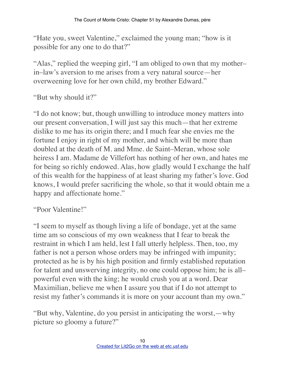"Hate you, sweet Valentine," exclaimed the young man; "how is it possible for any one to do that?"

"Alas," replied the weeping girl, "I am obliged to own that my mother– in–law's aversion to me arises from a very natural source—her overweening love for her own child, my brother Edward."

"But why should it?"

"I do not know; but, though unwilling to introduce money matters into our present conversation, I will just say this much—that her extreme dislike to me has its origin there; and I much fear she envies me the fortune I enjoy in right of my mother, and which will be more than doubled at the death of M. and Mme. de Saint–Meran, whose sole heiress I am. Madame de Villefort has nothing of her own, and hates me for being so richly endowed. Alas, how gladly would I exchange the half of this wealth for the happiness of at least sharing my father's love. God knows, I would prefer sacrificing the whole, so that it would obtain me a happy and affectionate home."

"Poor Valentine!"

"I seem to myself as though living a life of bondage, yet at the same time am so conscious of my own weakness that I fear to break the restraint in which I am held, lest I fall utterly helpless. Then, too, my father is not a person whose orders may be infringed with impunity; protected as he is by his high position and firmly established reputation for talent and unswerving integrity, no one could oppose him; he is all– powerful even with the king; he would crush you at a word. Dear Maximilian, believe me when I assure you that if I do not attempt to resist my father's commands it is more on your account than my own."

"But why, Valentine, do you persist in anticipating the worst,—why picture so gloomy a future?"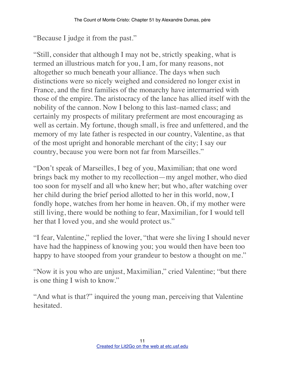"Because I judge it from the past."

"Still, consider that although I may not be, strictly speaking, what is termed an illustrious match for you, I am, for many reasons, not altogether so much beneath your alliance. The days when such distinctions were so nicely weighed and considered no longer exist in France, and the first families of the monarchy have intermarried with those of the empire. The aristocracy of the lance has allied itself with the nobility of the cannon. Now I belong to this last–named class; and certainly my prospects of military preferment are most encouraging as well as certain. My fortune, though small, is free and unfettered, and the memory of my late father is respected in our country, Valentine, as that of the most upright and honorable merchant of the city; I say our country, because you were born not far from Marseilles."

"Don't speak of Marseilles, I beg of you, Maximilian; that one word brings back my mother to my recollection—my angel mother, who died too soon for myself and all who knew her; but who, after watching over her child during the brief period allotted to her in this world, now, I fondly hope, watches from her home in heaven. Oh, if my mother were still living, there would be nothing to fear, Maximilian, for I would tell her that I loved you, and she would protect us."

"I fear, Valentine," replied the lover, "that were she living I should never have had the happiness of knowing you; you would then have been too happy to have stooped from your grandeur to bestow a thought on me."

"Now it is you who are unjust, Maximilian," cried Valentine; "but there is one thing I wish to know."

"And what is that?" inquired the young man, perceiving that Valentine hesitated.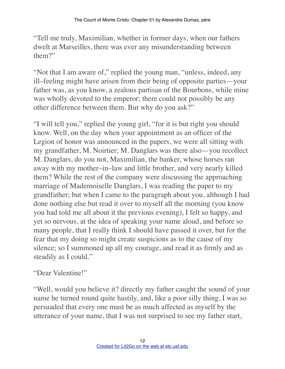"Tell me truly, Maximilian, whether in former days, when our fathers dwelt at Marseilles, there was ever any misunderstanding between them?"

"Not that I am aware of," replied the young man, "unless, indeed, any ill–feeling might have arisen from their being of opposite parties—your father was, as you know, a zealous partisan of the Bourbons, while mine was wholly devoted to the emperor; there could not possibly be any other difference between them. But why do you ask?"

"I will tell you," replied the young girl, "for it is but right you should know. Well, on the day when your appointment as an officer of the Legion of honor was announced in the papers, we were all sitting with my grandfather, M. Noirtier; M. Danglars was there also—you recollect M. Danglars, do you not, Maximilian, the banker, whose horses ran away with my mother–in–law and little brother, and very nearly killed them? While the rest of the company were discussing the approaching marriage of Mademoiselle Danglars, I was reading the paper to my grandfather; but when I came to the paragraph about you, although I had done nothing else but read it over to myself all the morning (you know you had told me all about it the previous evening), I felt so happy, and yet so nervous, at the idea of speaking your name aloud, and before so many people, that I really think I should have passed it over, but for the fear that my doing so might create suspicions as to the cause of my silence; so I summoned up all my courage, and read it as firmly and as steadily as I could."

## "Dear Valentine!"

"Well, would you believe it? directly my father caught the sound of your name he turned round quite hastily, and, like a poor silly thing, I was so persuaded that every one must be as much affected as myself by the utterance of your name, that I was not surprised to see my father start,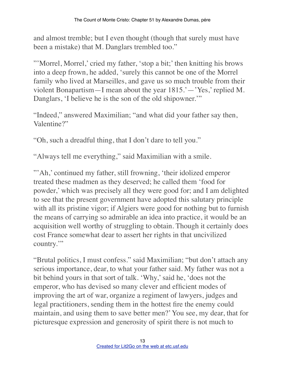and almost tremble; but I even thought (though that surely must have been a mistake) that M. Danglars trembled too."

"'Morrel, Morrel,' cried my father, 'stop a bit;' then knitting his brows into a deep frown, he added, 'surely this cannot be one of the Morrel family who lived at Marseilles, and gave us so much trouble from their violent Bonapartism—I mean about the year 1815.'—'Yes,' replied M. Danglars, 'I believe he is the son of the old shipowner.'"

"Indeed," answered Maximilian; "and what did your father say then, Valentine?"

"Oh, such a dreadful thing, that I don't dare to tell you."

"Always tell me everything," said Maximilian with a smile.

"'Ah,' continued my father, still frowning, 'their idolized emperor treated these madmen as they deserved; he called them 'food for powder,' which was precisely all they were good for; and I am delighted to see that the present government have adopted this salutary principle with all its pristine vigor; if Algiers were good for nothing but to furnish the means of carrying so admirable an idea into practice, it would be an acquisition well worthy of struggling to obtain. Though it certainly does cost France somewhat dear to assert her rights in that uncivilized country."

"Brutal politics, I must confess." said Maximilian; "but don't attach any serious importance, dear, to what your father said. My father was not a bit behind yours in that sort of talk. 'Why,' said he, 'does not the emperor, who has devised so many clever and efficient modes of improving the art of war, organize a regiment of lawyers, judges and legal practitioners, sending them in the hottest fire the enemy could maintain, and using them to save better men?' You see, my dear, that for picturesque expression and generosity of spirit there is not much to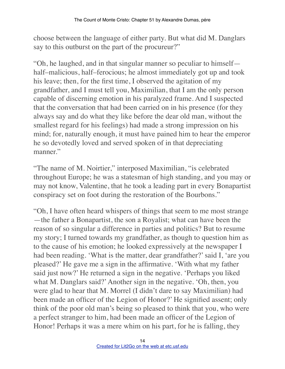choose between the language of either party. But what did M. Danglars say to this outburst on the part of the procureur?"

"Oh, he laughed, and in that singular manner so peculiar to himself half–malicious, half–ferocious; he almost immediately got up and took his leave; then, for the first time, I observed the agitation of my grandfather, and I must tell you, Maximilian, that I am the only person capable of discerning emotion in his paralyzed frame. And I suspected that the conversation that had been carried on in his presence (for they always say and do what they like before the dear old man, without the smallest regard for his feelings) had made a strong impression on his mind; for, naturally enough, it must have pained him to hear the emperor he so devotedly loved and served spoken of in that depreciating manner."

"The name of M. Noirtier," interposed Maximilian, "is celebrated throughout Europe; he was a statesman of high standing, and you may or may not know, Valentine, that he took a leading part in every Bonapartist conspiracy set on foot during the restoration of the Bourbons."

"Oh, I have often heard whispers of things that seem to me most strange —the father a Bonapartist, the son a Royalist; what can have been the reason of so singular a difference in parties and politics? But to resume my story; I turned towards my grandfather, as though to question him as to the cause of his emotion; he looked expressively at the newspaper I had been reading. 'What is the matter, dear grandfather?' said I, 'are you pleased?' He gave me a sign in the affirmative. 'With what my father said just now?' He returned a sign in the negative. 'Perhaps you liked what M. Danglars said?' Another sign in the negative. 'Oh, then, you were glad to hear that M. Morrel (I didn't dare to say Maximilian) had been made an officer of the Legion of Honor?' He signified assent; only think of the poor old man's being so pleased to think that you, who were a perfect stranger to him, had been made an officer of the Legion of Honor! Perhaps it was a mere whim on his part, for he is falling, they